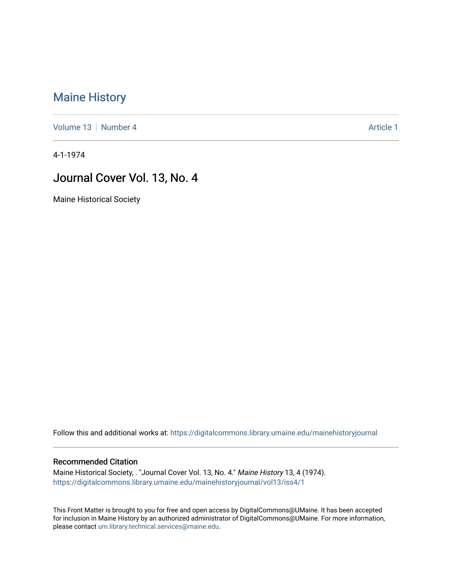## [Maine History](https://digitalcommons.library.umaine.edu/mainehistoryjournal)

[Volume 13](https://digitalcommons.library.umaine.edu/mainehistoryjournal/vol13) [Number 4](https://digitalcommons.library.umaine.edu/mainehistoryjournal/vol13/iss4) Article 1

4-1-1974

## Journal Cover Vol. 13, No. 4

Maine Historical Society

Follow this and additional works at: [https://digitalcommons.library.umaine.edu/mainehistoryjournal](https://digitalcommons.library.umaine.edu/mainehistoryjournal?utm_source=digitalcommons.library.umaine.edu%2Fmainehistoryjournal%2Fvol13%2Fiss4%2F1&utm_medium=PDF&utm_campaign=PDFCoverPages) 

## Recommended Citation

Maine Historical Society, . "Journal Cover Vol. 13, No. 4." Maine History 13, 4 (1974). [https://digitalcommons.library.umaine.edu/mainehistoryjournal/vol13/iss4/1](https://digitalcommons.library.umaine.edu/mainehistoryjournal/vol13/iss4/1?utm_source=digitalcommons.library.umaine.edu%2Fmainehistoryjournal%2Fvol13%2Fiss4%2F1&utm_medium=PDF&utm_campaign=PDFCoverPages)

This Front Matter is brought to you for free and open access by DigitalCommons@UMaine. It has been accepted for inclusion in Maine History by an authorized administrator of DigitalCommons@UMaine. For more information, please contact [um.library.technical.services@maine.edu.](mailto:um.library.technical.services@maine.edu)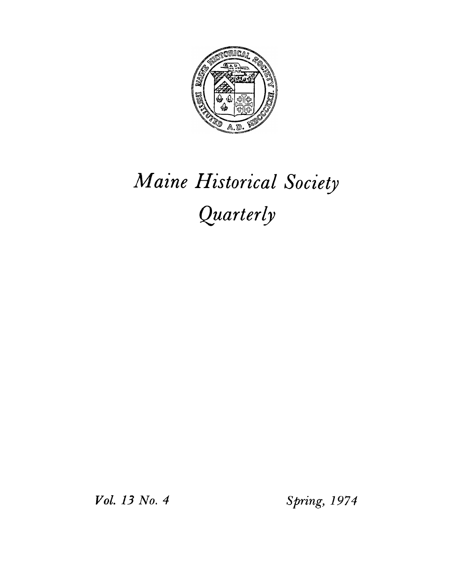

## *Maine Historical Society Quarterly*

*Vol. 13 No. 4 Spring, 1974*